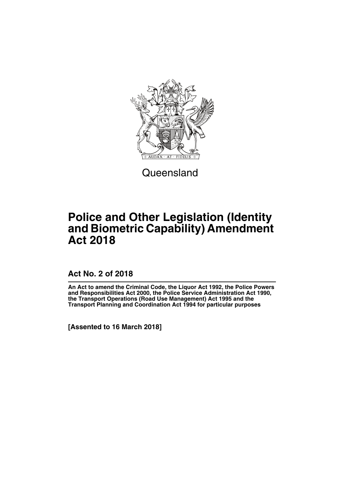

**Queensland** 

# **Police and Other Legislation (Identity and Biometric Capability) Amendment Act 2018**

**Act No. 2 of 2018**

**An Act to amend the Criminal Code, the Liquor Act 1992, the Police Powers and Responsibilities Act 2000, the Police Service Administration Act 1990, the Transport Operations (Road Use Management) Act 1995 and the Transport Planning and Coordination Act 1994 for particular purposes**

**[Assented to 16 March 2018]**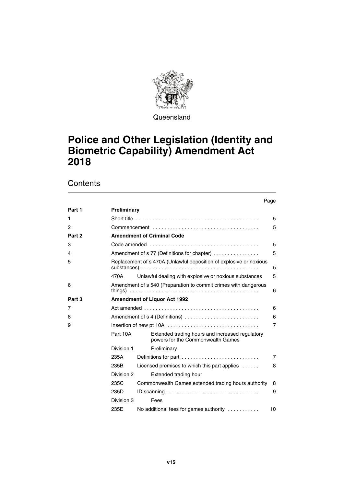

Queensland

# **Police and Other Legislation (Identity and Biometric Capability) Amendment Act 2018**

**Contents** 

|              |                                     |                                                                                                          | Page           |  |
|--------------|-------------------------------------|----------------------------------------------------------------------------------------------------------|----------------|--|
| Part 1       | <b>Preliminary</b>                  |                                                                                                          |                |  |
| 1            |                                     | Short title $\ldots \ldots \ldots \ldots \ldots \ldots \ldots \ldots \ldots \ldots \ldots \ldots \ldots$ | 5              |  |
| $\mathbf{2}$ |                                     |                                                                                                          | 5              |  |
| Part 2       |                                     | <b>Amendment of Criminal Code</b>                                                                        |                |  |
| 3            |                                     |                                                                                                          | 5              |  |
| 4            |                                     | Amendment of s 77 (Definitions for chapter)                                                              | 5              |  |
| 5            |                                     | Replacement of s 470A (Unlawful deposition of explosive or noxious                                       | 5              |  |
|              | 470A                                | Unlawful dealing with explosive or noxious substances                                                    | 5              |  |
| 6            |                                     | Amendment of s 540 (Preparation to commit crimes with dangerous                                          | 6              |  |
| Part 3       |                                     | <b>Amendment of Liquor Act 1992</b>                                                                      |                |  |
| 7            |                                     |                                                                                                          | 6              |  |
| 8            | Amendment of s 4 (Definitions)<br>6 |                                                                                                          |                |  |
| 9            | $\overline{7}$                      |                                                                                                          |                |  |
|              | Part 10A                            | Extended trading hours and increased regulatory<br>powers for the Commonwealth Games                     |                |  |
|              | Division 1                          | Preliminary                                                                                              |                |  |
|              | 235A                                | Definitions for part                                                                                     | $\overline{7}$ |  |
|              | 235B                                | Licensed premises to which this part applies $\dots$                                                     | 8              |  |
|              | Division 2                          | Extended trading hour                                                                                    |                |  |
|              | 235C                                | Commonwealth Games extended trading hours authority                                                      | 8              |  |
|              | 235D                                | ID scanning $\ldots \ldots \ldots \ldots \ldots \ldots \ldots \ldots \ldots \ldots$                      | 9              |  |
|              | Division 3                          | Fees                                                                                                     |                |  |
|              | 235E                                | No additional fees for games authority                                                                   | 10             |  |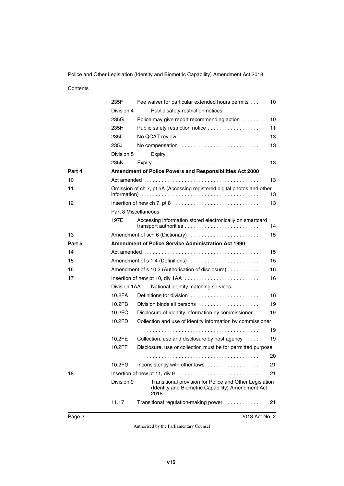Police and Other Legislation (Identity and Biometric Capability) Amendment Act 2018

#### **Contents**

|        | 235F<br>Division 4   | Fee waiver for particular extended hours permits<br>Public safety restriction notices                                | 10 |
|--------|----------------------|----------------------------------------------------------------------------------------------------------------------|----|
|        | 235G                 | Police may give report recommending action                                                                           | 10 |
|        | 235H                 | Public safety restriction notice                                                                                     | 11 |
|        | 235I                 | No QCAT review                                                                                                       | 13 |
|        | 235J                 | No compensation                                                                                                      | 13 |
|        | Division 5           | Expiry                                                                                                               |    |
|        | 235K                 |                                                                                                                      | 13 |
| Part 4 |                      | Amendment of Police Powers and Responsibilities Act 2000                                                             |    |
|        |                      |                                                                                                                      |    |
| 10     |                      |                                                                                                                      | 13 |
| 11     |                      | Omission of ch 7, pt 5A (Accessing registered digital photos and other                                               | 13 |
| 12     |                      |                                                                                                                      | 13 |
|        | Part 8 Miscellaneous |                                                                                                                      |    |
|        | 197E                 | Accessing information stored electronically on smartcard                                                             | 14 |
| 13     |                      | Amendment of sch 6 (Dictionary)                                                                                      | 15 |
| Part 5 |                      | <b>Amendment of Police Service Administration Act 1990</b>                                                           |    |
| 14     |                      |                                                                                                                      | 15 |
| 15     |                      | Amendment of s 1.4 (Definitions)                                                                                     | 15 |
| 16     |                      | Amendment of s 10.2 (Authorisation of disclosure)                                                                    | 16 |
| 17     |                      | Insertion of new pt 10, div 1AA                                                                                      | 16 |
|        | Division 1AA         | National identity matching services                                                                                  |    |
|        | 10.2FA               | Definitions for division                                                                                             | 16 |
|        | 10.2FB               | Division binds all persons                                                                                           | 19 |
|        | 10.2FC               | Disclosure of identity information by commissioner .                                                                 | 19 |
|        | 10.2FD               | Collection and use of identity information by commissioner                                                           |    |
|        |                      |                                                                                                                      | 19 |
|        | 10.2FE               | Collection, use and disclosure by host agency                                                                        | 19 |
|        | 10.2FF               | Disclosure, use or collection must be for permitted purpose                                                          |    |
|        |                      |                                                                                                                      | 20 |
|        | 10.2FG               | Inconsistency with other laws                                                                                        | 21 |
| 18     |                      |                                                                                                                      | 21 |
|        | Division 9           | Transitional provision for Police and Other Legislation<br>(Identity and Biometric Capability) Amendment Act<br>2018 |    |
|        | 11.17                | Transitional regulation-making power                                                                                 | 21 |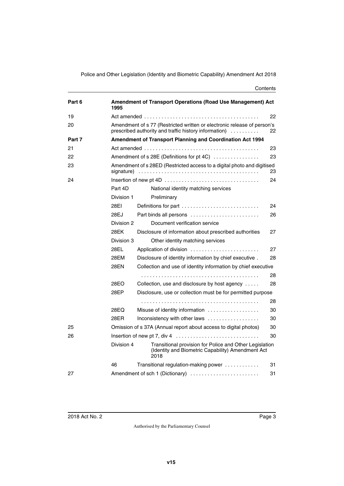Police and Other Legislation (Identity and Biometric Capability) Amendment Act 2018

#### **Contents**

| Part 6 | Amendment of Transport Operations (Road Use Management) Act<br>1995                         |                                                                                                                                                        |    |
|--------|---------------------------------------------------------------------------------------------|--------------------------------------------------------------------------------------------------------------------------------------------------------|----|
| 19     |                                                                                             |                                                                                                                                                        | 22 |
| 20     |                                                                                             | Amendment of s 77 (Restricted written or electronic release of person's<br>prescribed authority and traffic history information)<br>a dia ara-dia ara- | 22 |
| Part 7 |                                                                                             | Amendment of Transport Planning and Coordination Act 1994                                                                                              |    |
| 21     |                                                                                             |                                                                                                                                                        | 23 |
| 22     |                                                                                             | Amendment of s 28E (Definitions for pt 4C)                                                                                                             | 23 |
| 23     | Amendment of s 28ED (Restricted access to a digital photo and digitised<br>signature)<br>23 |                                                                                                                                                        |    |
| 24     |                                                                                             |                                                                                                                                                        | 24 |
|        | Part 4D                                                                                     | National identity matching services                                                                                                                    |    |
|        | Division 1                                                                                  | Preliminary                                                                                                                                            |    |
|        | 28EI                                                                                        | Definitions for part $\ldots \ldots \ldots \ldots \ldots \ldots \ldots \ldots$                                                                         | 24 |
|        | 28EJ                                                                                        | Part binds all persons $\ldots \ldots \ldots \ldots \ldots \ldots \ldots$                                                                              | 26 |
|        | Division 2                                                                                  | Document verification service                                                                                                                          |    |
|        | 28EK                                                                                        | Disclosure of information about prescribed authorities                                                                                                 | 27 |
|        | Division 3                                                                                  | Other identity matching services                                                                                                                       |    |
|        | 28EL                                                                                        | Application of division                                                                                                                                | 27 |
|        | 28EM                                                                                        | Disclosure of identity information by chief executive.                                                                                                 | 28 |
|        | 28EN                                                                                        | Collection and use of identity information by chief executive                                                                                          |    |
|        |                                                                                             |                                                                                                                                                        | 28 |
|        | 28EO                                                                                        | Collection, use and disclosure by host agency                                                                                                          | 28 |
|        | 28EP                                                                                        | Disclosure, use or collection must be for permitted purpose                                                                                            |    |
|        |                                                                                             |                                                                                                                                                        | 28 |
|        | 28EQ                                                                                        | Misuse of identity information                                                                                                                         | 30 |
|        | 28FR                                                                                        | Inconsistency with other laws                                                                                                                          | 30 |
| 25     |                                                                                             | Omission of s 37A (Annual report about access to digital photos)                                                                                       | 30 |
| 26     |                                                                                             |                                                                                                                                                        | 30 |
|        | Division 4                                                                                  | Transitional provision for Police and Other Legislation<br>(Identity and Biometric Capability) Amendment Act<br>2018                                   |    |
|        | 46                                                                                          | Transitional regulation-making power                                                                                                                   | 31 |
| 27     |                                                                                             | Amendment of sch 1 (Dictionary)                                                                                                                        | 31 |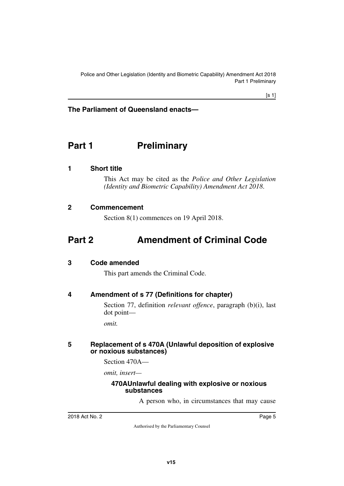# **The Parliament of Queensland enacts—**

# <span id="page-6-0"></span>**Part 1** Preliminary

### <span id="page-6-2"></span>**1 Short title**

<span id="page-6-3"></span><span id="page-6-1"></span>This Act may be cited as the *Police and Other Legislation (Identity and Biometric Capability) Amendment Act 2018*.

### <span id="page-6-4"></span>**2 Commencement**

<span id="page-6-7"></span><span id="page-6-5"></span>Section 8(1) commences on 19 April 2018.

# <span id="page-6-6"></span>**Part 2 Amendment of Criminal Code**

#### <span id="page-6-8"></span>**3 Code amended**

<span id="page-6-11"></span><span id="page-6-9"></span>This part amends the Criminal Code.

## <span id="page-6-10"></span>**4 Amendment of s 77 (Definitions for chapter)**

Section 77, definition *relevant offence*, paragraph (b)(i), last dot point—

<span id="page-6-13"></span>*omit.*

#### <span id="page-6-12"></span>**5 Replacement of s 470A (Unlawful deposition of explosive or noxious substances)**

Section 470A—

*omit, insert—*

#### <span id="page-6-15"></span><span id="page-6-14"></span>**470AUnlawful dealing with explosive or noxious substances**

A person who, in circumstances that may cause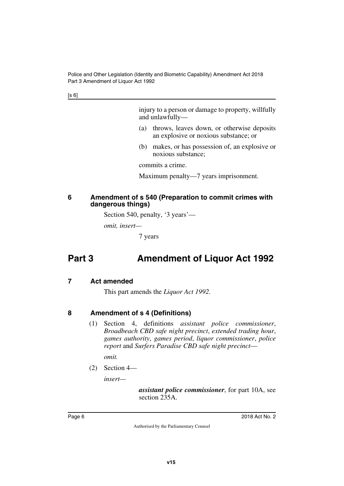[s 6]

injury to a person or damage to property, willfully and unlawfully—

- (a) throws, leaves down, or otherwise deposits an explosive or noxious substance; or
- (b) makes, or has possession of, an explosive or noxious substance;

commits a crime.

Maximum penalty—7 years imprisonment.

#### <span id="page-7-1"></span><span id="page-7-0"></span>**6 Amendment of s 540 (Preparation to commit crimes with dangerous things)**

Section 540, penalty, '3 years'—

*omit, insert—*

<span id="page-7-3"></span>7 years

# <span id="page-7-2"></span>**Part 3 Amendment of Liquor Act 1992**

## <span id="page-7-4"></span>**7 Act amended**

<span id="page-7-5"></span>This part amends the *Liquor Act 1992*.

# <span id="page-7-6"></span>**8 Amendment of s 4 (Definitions)**

<span id="page-7-7"></span>(1) Section 4, definitions *assistant police commissioner*, *Broadbeach CBD safe night precinct*, *extended trading hour*, *games authority*, *games period*, *liquor commissioner*, *police report* and *Surfers Paradise CBD safe night precinct*—

*omit.*

(2) Section 4—

*insert—*

*assistant police commissioner*, for part 10A, see section 235A.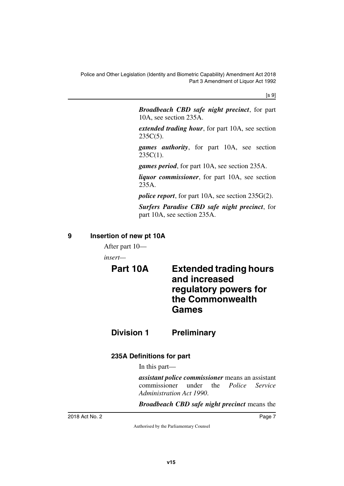[s 9]

*Broadbeach CBD safe night precinct*, for part 10A, see section 235A.

*extended trading hour*, for part 10A, see section  $235C(5)$ .

*games authority*, for part 10A, see section  $235C(1)$ .

*games period*, for part 10A, see section 235A.

*liquor commissioner*, for part 10A, see section 235A.

*police report*, for part 10A, see section 235G(2).

*Surfers Paradise CBD safe night precinct*, for part 10A, see section 235A.

## <span id="page-8-0"></span>**9 Insertion of new pt 10A**

<span id="page-8-1"></span>After part 10—

<span id="page-8-2"></span>*insert—*

# <span id="page-8-3"></span>**Part 10A Extended trading hours and increased regulatory powers for the Commonwealth Games**

<span id="page-8-4"></span>**Division 1 Preliminary**

# <span id="page-8-6"></span>**235A Definitions for part**

<span id="page-8-7"></span><span id="page-8-5"></span>In this part—

*assistant police commissioner* means an assistant commissioner under the *Police Service Administration Act 1990*.

*Broadbeach CBD safe night precinct* means the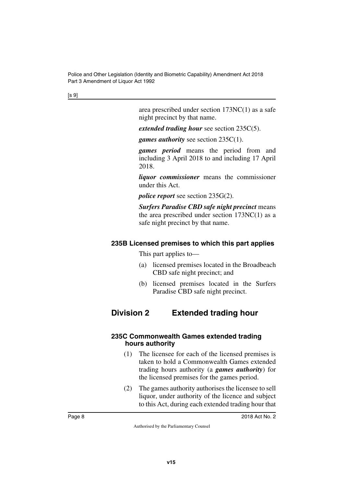[s 9]

area prescribed under section 173NC(1) as a safe night precinct by that name.

*extended trading hour* see section 235C(5).

*games authority* see section 235C(1).

*games period* means the period from and including 3 April 2018 to and including 17 April 2018.

*liquor commissioner* means the commissioner under this Act.

*police report* see section 235G(2).

*Surfers Paradise CBD safe night precinct* means the area prescribed under section  $173NC(1)$  as a safe night precinct by that name.

## <span id="page-9-0"></span>**235B Licensed premises to which this part applies**

<span id="page-9-1"></span>This part applies to—

- (a) licensed premises located in the Broadbeach CBD safe night precinct; and
- <span id="page-9-3"></span>(b) licensed premises located in the Surfers Paradise CBD safe night precinct.

# <span id="page-9-2"></span>**Division 2 Extended trading hour**

## <span id="page-9-5"></span><span id="page-9-4"></span>**235C Commonwealth Games extended trading hours authority**

- (1) The licensee for each of the licensed premises is taken to hold a Commonwealth Games extended trading hours authority (a *games authority*) for the licensed premises for the games period.
- (2) The games authority authorises the licensee to sell liquor, under authority of the licence and subject to this Act, during each extended trading hour that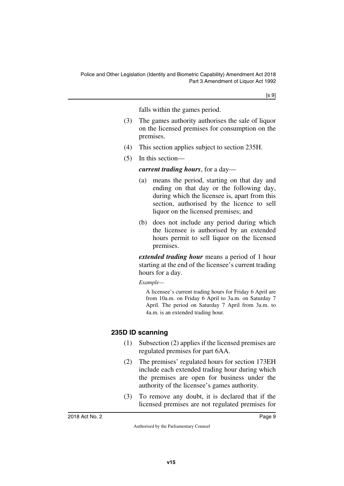[s 9]

falls within the games period.

- (3) The games authority authorises the sale of liquor on the licensed premises for consumption on the premises.
- (4) This section applies subject to section 235H.
- (5) In this section—

#### *current trading hours*, for a day—

- (a) means the period, starting on that day and ending on that day or the following day, during which the licensee is, apart from this section, authorised by the licence to sell liquor on the licensed premises; and
- (b) does not include any period during which the licensee is authorised by an extended hours permit to sell liquor on the licensed premises.

*extended trading hour* means a period of 1 hour starting at the end of the licensee's current trading hours for a day.

*Example—*

A licensee's current trading hours for Friday 6 April are from 10a.m. on Friday 6 April to 3a.m. on Saturday 7 April. The period on Saturday 7 April from 3a.m. to 4a.m. is an extended trading hour.

# <span id="page-10-0"></span>**235D ID scanning**

- <span id="page-10-1"></span>(1) Subsection (2) applies if the licensed premises are regulated premises for part 6AA.
- (2) The premises' regulated hours for section 173EH include each extended trading hour during which the premises are open for business under the authority of the licensee's games authority.
- (3) To remove any doubt, it is declared that if the licensed premises are not regulated premises for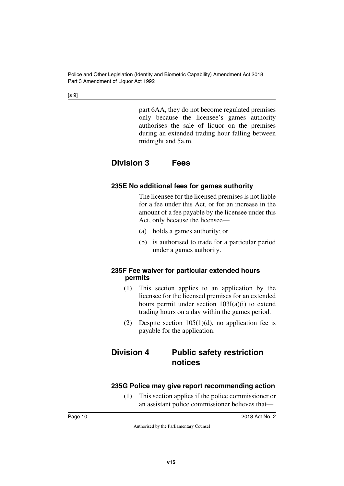[s 9]

part 6AA, they do not become regulated premises only because the licensee's games authority authorises the sale of liquor on the premises during an extended trading hour falling between midnight and 5a.m.

# <span id="page-11-0"></span>**Division 3 Fees**

# <span id="page-11-3"></span><span id="page-11-2"></span>**235E No additional fees for games authority**

<span id="page-11-1"></span>The licensee for the licensed premises is not liable for a fee under this Act, or for an increase in the amount of a fee payable by the licensee under this Act, only because the licensee—

- (a) holds a games authority; or
- (b) is authorised to trade for a particular period under a games authority.

## <span id="page-11-5"></span><span id="page-11-4"></span>**235F Fee waiver for particular extended hours permits**

- (1) This section applies to an application by the licensee for the licensed premises for an extended hours permit under section 103I(a)(i) to extend trading hours on a day within the games period.
- <span id="page-11-7"></span>(2) Despite section  $105(1)(d)$ , no application fee is payable for the application.

# <span id="page-11-6"></span>**Division 4 Public safety restriction notices**

# <span id="page-11-8"></span>**235G Police may give report recommending action**

<span id="page-11-9"></span>(1) This section applies if the police commissioner or an assistant police commissioner believes that—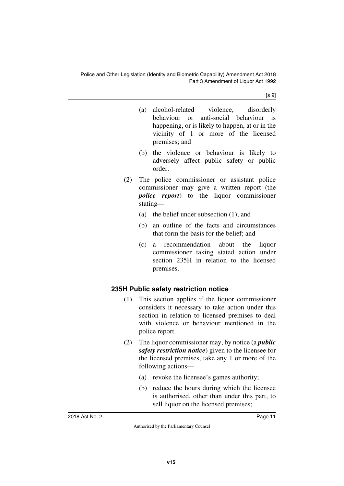$[s 9]$ 

- (a) alcohol-related violence, disorderly behaviour or anti-social behaviour is happening, or is likely to happen, at or in the vicinity of 1 or more of the licensed premises; and
- (b) the violence or behaviour is likely to adversely affect public safety or public order.
- (2) The police commissioner or assistant police commissioner may give a written report (the *police report*) to the liquor commissioner stating—
	- (a) the belief under subsection (1); and
	- (b) an outline of the facts and circumstances that form the basis for the belief; and
	- (c) a recommendation about the liquor commissioner taking stated action under section 235H in relation to the licensed premises.

# <span id="page-12-0"></span>**235H Public safety restriction notice**

- <span id="page-12-1"></span>(1) This section applies if the liquor commissioner considers it necessary to take action under this section in relation to licensed premises to deal with violence or behaviour mentioned in the police report.
- (2) The liquor commissioner may, by notice (a *public safety restriction notice*) given to the licensee for the licensed premises, take any 1 or more of the following actions—
	- (a) revoke the licensee's games authority;
	- (b) reduce the hours during which the licensee is authorised, other than under this part, to sell liquor on the licensed premises;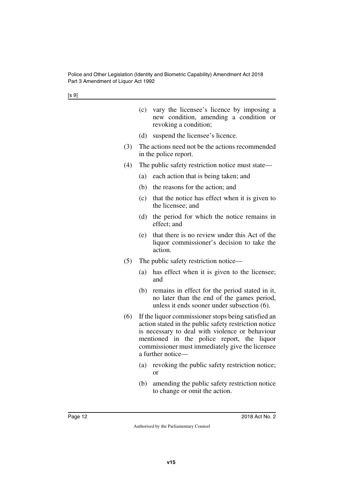[s 9]

|     | vary the licensee's licence by imposing a<br>(c)<br>new condition, amending a condition or<br>revoking a condition;                                                                                                                                                                   |  |  |  |
|-----|---------------------------------------------------------------------------------------------------------------------------------------------------------------------------------------------------------------------------------------------------------------------------------------|--|--|--|
|     | suspend the licensee's licence.<br>(d)                                                                                                                                                                                                                                                |  |  |  |
| (3) | The actions need not be the actions recommended<br>in the police report.                                                                                                                                                                                                              |  |  |  |
| (4) | The public safety restriction notice must state—                                                                                                                                                                                                                                      |  |  |  |
|     | (a)<br>each action that is being taken; and                                                                                                                                                                                                                                           |  |  |  |
|     | (b)<br>the reasons for the action; and                                                                                                                                                                                                                                                |  |  |  |
|     | (c)<br>that the notice has effect when it is given to<br>the licensee; and                                                                                                                                                                                                            |  |  |  |
|     | the period for which the notice remains in<br>(d)<br>effect; and                                                                                                                                                                                                                      |  |  |  |
|     | that there is no review under this Act of the<br>(e)<br>liquor commissioner's decision to take the<br>action.                                                                                                                                                                         |  |  |  |
| (5) | The public safety restriction notice—                                                                                                                                                                                                                                                 |  |  |  |
|     | has effect when it is given to the licensee;<br>(a)<br>and                                                                                                                                                                                                                            |  |  |  |
|     | remains in effect for the period stated in it,<br>(b)<br>no later than the end of the games period,<br>unless it ends sooner under subsection (6).                                                                                                                                    |  |  |  |
| (6) | If the liquor commissioner stops being satisfied an<br>action stated in the public safety restriction notice<br>is necessary to deal with violence or behaviour<br>mentioned in the police report, the liquor<br>commissioner must immediately give the licensee<br>a further notice- |  |  |  |
|     | revoking the public safety restriction notice;<br>(a)<br><sub>or</sub>                                                                                                                                                                                                                |  |  |  |
|     | amending the public safety restriction notice<br>(b)<br>to change or omit the action.                                                                                                                                                                                                 |  |  |  |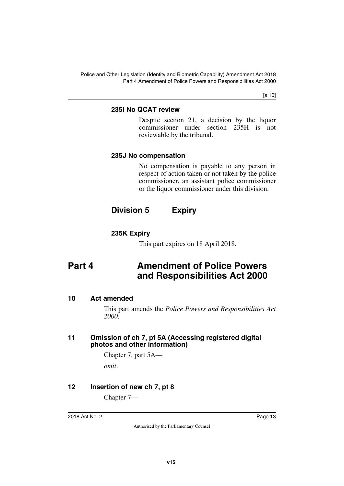Police and Other Legislation (Identity and Biometric Capability) Amendment Act 2018 Part 4 Amendment of Police Powers and Responsibilities Act 2000

[s 10]

## <span id="page-14-1"></span><span id="page-14-0"></span>**235I No QCAT review**

Despite section 21, a decision by the liquor commissioner under section 235H is not reviewable by the tribunal.

## <span id="page-14-3"></span><span id="page-14-2"></span>**235J No compensation**

<span id="page-14-5"></span>No compensation is payable to any person in respect of action taken or not taken by the police commissioner, an assistant police commissioner or the liquor commissioner under this division.

# <span id="page-14-4"></span>**Division 5 Expiry**

# <span id="page-14-6"></span>**235K Expiry**

<span id="page-14-9"></span><span id="page-14-7"></span>This part expires on 18 April 2018.

# <span id="page-14-8"></span>**Part 4 Amendment of Police Powers and Responsibilities Act 2000**

## <span id="page-14-10"></span>**10 Act amended**

<span id="page-14-11"></span>This part amends the *Police Powers and Responsibilities Act 2000*.

#### <span id="page-14-13"></span><span id="page-14-12"></span>**11 Omission of ch 7, pt 5A (Accessing registered digital photos and other information)**

Chapter 7, part 5A—

<span id="page-14-15"></span>*omit*.

# <span id="page-14-14"></span>**12 Insertion of new ch 7, pt 8**

Chapter 7—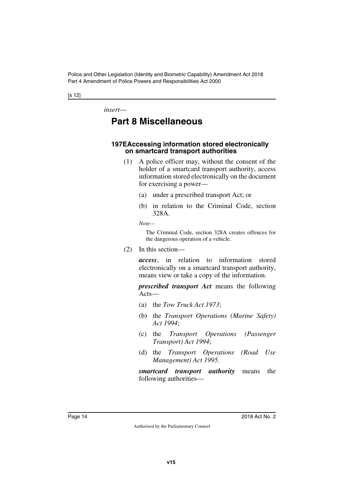Police and Other Legislation (Identity and Biometric Capability) Amendment Act 2018 Part 4 Amendment of Police Powers and Responsibilities Act 2000

#### [s 12]

*insert*—

# <span id="page-15-0"></span>**Part 8 Miscellaneous**

#### <span id="page-15-2"></span><span id="page-15-1"></span>**197EAccessing information stored electronically on smartcard transport authorities**

- (1) A police officer may, without the consent of the holder of a smartcard transport authority, access information stored electronically on the document for exercising a power—
	- (a) under a prescribed transport Act; or
	- (b) in relation to the Criminal Code, section 328A.

*Note—*

The Criminal Code, section 328A creates offences for the dangerous operation of a vehicle.

(2) In this section—

*access*, in relation to information stored electronically on a smartcard transport authority, means view or take a copy of the information.

*prescribed transport Act* means the following Acts—

- (a) the *Tow Truck Act 1973*;
- (b) the *Transport Operations (Marine Safety) Act 1994*;
- (c) the *Transport Operations (Passenger Transport) Act 1994*;
- (d) the *Transport Operations (Road Use Management) Act 1995*.

*smartcard transport authority* means the following authorities—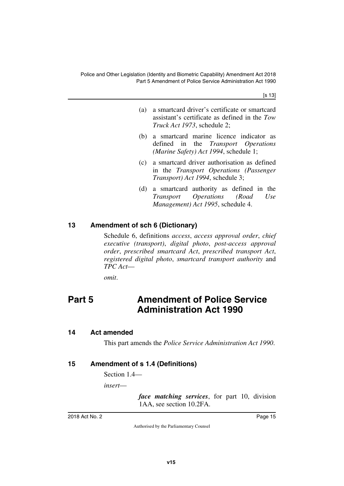[s 13]

- (a) a smartcard driver's certificate or smartcard assistant's certificate as defined in the *Tow Truck Act 1973*, schedule 2;
- (b) a smartcard marine licence indicator as defined in the *Transport Operations (Marine Safety) Act 1994*, schedule 1;
- (c) a smartcard driver authorisation as defined in the *Transport Operations (Passenger Transport) Act 1994*, schedule 3;
- (d) a smartcard authority as defined in the *Transport Operations (Road Use Management) Act 1995*, schedule 4.

### <span id="page-16-0"></span>**13 Amendment of sch 6 (Dictionary)**

<span id="page-16-1"></span>Schedule 6, definitions *access*, *access approval order*, *chief executive (transport)*, *digital photo*, *post-access approval order*, *prescribed smartcard Act*, *prescribed transport Act*, *registered digital photo*, *smartcard transport authority* and *TPC Act*—

<span id="page-16-3"></span>*omit*.

# <span id="page-16-2"></span>**Part 5 Amendment of Police Service Administration Act 1990**

#### <span id="page-16-4"></span>**14 Act amended**

<span id="page-16-7"></span><span id="page-16-5"></span>This part amends the *Police Service Administration Act 1990*.

## <span id="page-16-6"></span>**15 Amendment of s 1.4 (Definitions)**

Section 1.4—

*insert*—

*face matching services*, for part 10, division 1AA, see section 10.2FA.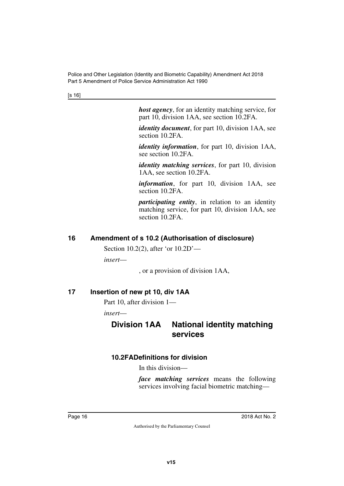[s 16]

*host agency*, for an identity matching service, for part 10, division 1AA, see section 10.2FA.

*identity document*, for part 10, division 1AA, see section 10.2FA.

*identity information*, for part 10, division 1AA, see section 10.2FA.

*identity matching services*, for part 10, division 1AA, see section 10.2FA.

*information*, for part 10, division 1AA, see section 10.2FA.

*participating entity*, in relation to an identity matching service, for part 10, division 1AA, see section 10.2FA.

## <span id="page-17-0"></span>**16 Amendment of s 10.2 (Authorisation of disclosure)**

<span id="page-17-1"></span>Section 10.2(2), after 'or 10.2D'—

*insert*—

<span id="page-17-5"></span>, or a provision of division 1AA,

# <span id="page-17-2"></span>**17 Insertion of new pt 10, div 1AA**

<span id="page-17-3"></span>Part 10, after division 1—

*insert*—

# <span id="page-17-4"></span>**Division 1AA National identity matching services**

# <span id="page-17-6"></span>**10.2FADefinitions for division**

<span id="page-17-7"></span>In this division—

*face matching services* means the following services involving facial biometric matching—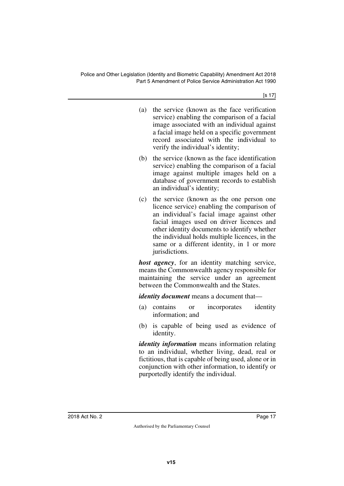[s 17]

- (a) the service (known as the face verification service) enabling the comparison of a facial image associated with an individual against a facial image held on a specific government record associated with the individual to verify the individual's identity;
- (b) the service (known as the face identification service) enabling the comparison of a facial image against multiple images held on a database of government records to establish an individual's identity;
- (c) the service (known as the one person one licence service) enabling the comparison of an individual's facial image against other facial images used on driver licences and other identity documents to identify whether the individual holds multiple licences, in the same or a different identity, in 1 or more jurisdictions.

*host agency*, for an identity matching service, means the Commonwealth agency responsible for maintaining the service under an agreement between the Commonwealth and the States.

*identity document* means a document that—

- (a) contains or incorporates identity information; and
- (b) is capable of being used as evidence of identity.

*identity information* means information relating to an individual, whether living, dead, real or fictitious, that is capable of being used, alone or in conjunction with other information, to identify or purportedly identify the individual.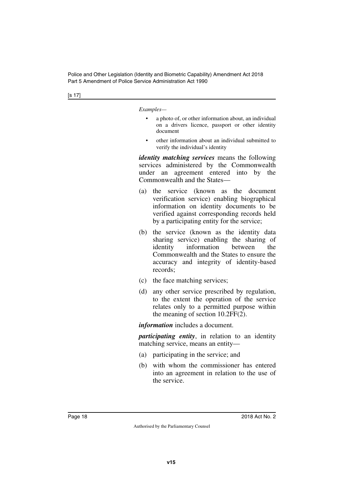[s 17]

*Examples—*

- a photo of, or other information about, an individual on a drivers licence, passport or other identity document
- other information about an individual submitted to verify the individual's identity

*identity matching services* means the following services administered by the Commonwealth under an agreement entered into by the Commonwealth and the States—

- (a) the service (known as the document verification service) enabling biographical information on identity documents to be verified against corresponding records held by a participating entity for the service;
- (b) the service (known as the identity data sharing service) enabling the sharing of identity information between the Commonwealth and the States to ensure the accuracy and integrity of identity-based records;
- (c) the face matching services;
- (d) any other service prescribed by regulation, to the extent the operation of the service relates only to a permitted purpose within the meaning of section 10.2FF(2).

*information* includes a document.

*participating entity*, in relation to an identity matching service, means an entity—

- (a) participating in the service; and
- (b) with whom the commissioner has entered into an agreement in relation to the use of the service.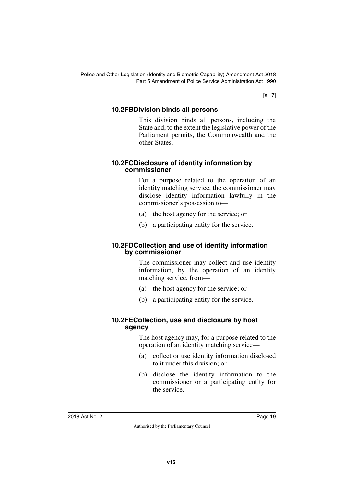[s 17]

## <span id="page-20-0"></span>**10.2FBDivision binds all persons**

<span id="page-20-1"></span>This division binds all persons, including the State and, to the extent the legislative power of the Parliament permits, the Commonwealth and the other States.

### <span id="page-20-3"></span><span id="page-20-2"></span>**10.2FCDisclosure of identity information by commissioner**

For a purpose related to the operation of an identity matching service, the commissioner may disclose identity information lawfully in the commissioner's possession to—

- (a) the host agency for the service; or
- <span id="page-20-5"></span>(b) a participating entity for the service.

### <span id="page-20-4"></span>**10.2FDCollection and use of identity information by commissioner**

The commissioner may collect and use identity information, by the operation of an identity matching service, from—

- (a) the host agency for the service; or
- <span id="page-20-7"></span>(b) a participating entity for the service.

## <span id="page-20-6"></span>**10.2FECollection, use and disclosure by host agency**

The host agency may, for a purpose related to the operation of an identity matching service—

- (a) collect or use identity information disclosed to it under this division; or
- (b) disclose the identity information to the commissioner or a participating entity for the service.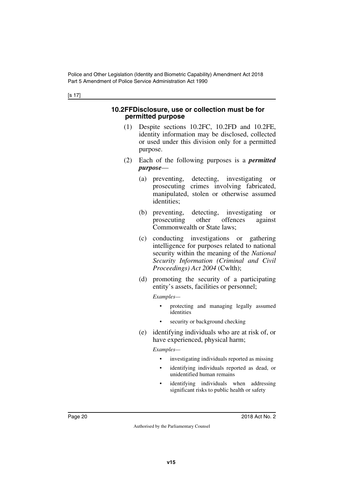[s 17]

#### <span id="page-21-1"></span><span id="page-21-0"></span>**10.2FFDisclosure, use or collection must be for permitted purpose**

- (1) Despite sections 10.2FC, 10.2FD and 10.2FE, identity information may be disclosed, collected or used under this division only for a permitted purpose.
- (2) Each of the following purposes is a *permitted purpose*—
	- (a) preventing, detecting, investigating or prosecuting crimes involving fabricated, manipulated, stolen or otherwise assumed identities;
	- (b) preventing, detecting, investigating or prosecuting other offences against Commonwealth or State laws;
	- (c) conducting investigations or gathering intelligence for purposes related to national security within the meaning of the *National Security Information (Criminal and Civil Proceedings) Act 2004* (Cwlth);
	- (d) promoting the security of a participating entity's assets, facilities or personnel;

*Examples—*

- protecting and managing legally assumed identities
- security or background checking
- (e) identifying individuals who are at risk of, or have experienced, physical harm;

*Examples—*

- investigating individuals reported as missing
- identifying individuals reported as dead, or unidentified human remains
- identifying individuals when addressing significant risks to public health or safety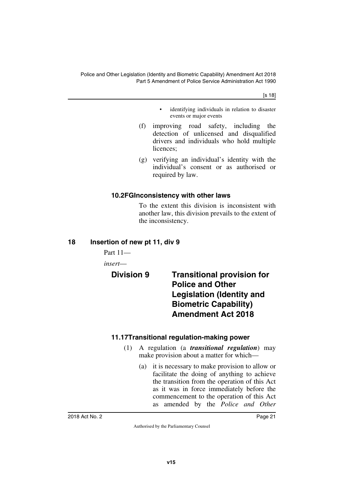[s 18]

- identifying individuals in relation to disaster events or major events
- (f) improving road safety, including the detection of unlicensed and disqualified drivers and individuals who hold multiple licences;
- (g) verifying an individual's identity with the individual's consent or as authorised or required by law.

## <span id="page-22-0"></span>**10.2FGInconsistency with other laws**

<span id="page-22-1"></span>To the extent this division is inconsistent with another law, this division prevails to the extent of the inconsistency.

## <span id="page-22-2"></span>**18 Insertion of new pt 11, div 9**

<span id="page-22-3"></span>Part 11—

*insert*—

<span id="page-22-5"></span><span id="page-22-4"></span>**Division 9 Transitional provision for Police and Other Legislation (Identity and Biometric Capability) Amendment Act 2018**

# <span id="page-22-6"></span>**11.17Transitional regulation-making power**

- <span id="page-22-7"></span>(1) A regulation (a *transitional regulation*) may make provision about a matter for which—
	- (a) it is necessary to make provision to allow or facilitate the doing of anything to achieve the transition from the operation of this Act as it was in force immediately before the commencement to the operation of this Act as amended by the *Police and Other*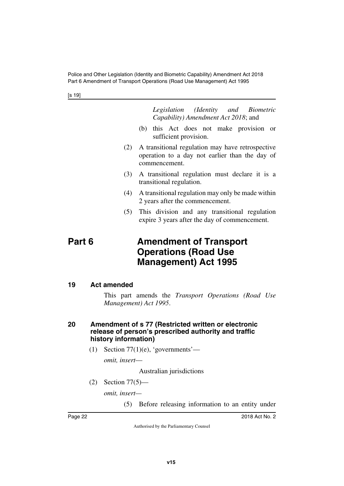Police and Other Legislation (Identity and Biometric Capability) Amendment Act 2018 Part 6 Amendment of Transport Operations (Road Use Management) Act 1995

[s 19]

*Legislation (Identity and Biometric Capability) Amendment Act 2018*; and

- (b) this Act does not make provision or sufficient provision.
- (2) A transitional regulation may have retrospective operation to a day not earlier than the day of commencement.
- (3) A transitional regulation must declare it is a transitional regulation.
- (4) A transitional regulation may only be made within 2 years after the commencement.
- <span id="page-23-1"></span>(5) This division and any transitional regulation expire 3 years after the day of commencement.

# <span id="page-23-0"></span>**Part 6 Amendment of Transport Operations (Road Use Management) Act 1995**

#### <span id="page-23-2"></span>**19 Act amended**

<span id="page-23-3"></span>This part amends the *Transport Operations (Road Use Management) Act 1995*.

#### <span id="page-23-5"></span><span id="page-23-4"></span>**20 Amendment of s 77 (Restricted written or electronic release of person's prescribed authority and traffic history information)**

(1) Section  $77(1)(e)$ , 'governments'—

*omit, insert*—

Australian jurisdictions

(2) Section 77(5)—

*omit, insert—*

(5) Before releasing information to an entity under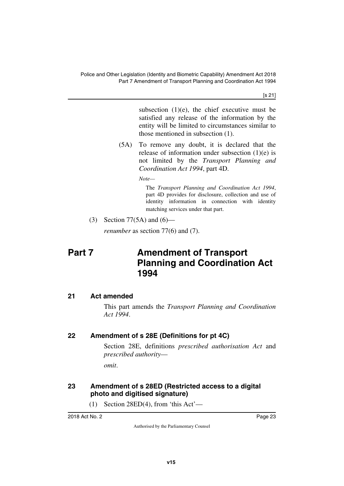[s 21]

subsection  $(1)(e)$ , the chief executive must be satisfied any release of the information by the entity will be limited to circumstances similar to those mentioned in subsection (1).

(5A) To remove any doubt, it is declared that the release of information under subsection (1)(e) is not limited by the *Transport Planning and Coordination Act 1994*, part 4D.

*Note—*

The *Transport Planning and Coordination Act 1994*, part 4D provides for disclosure, collection and use of identity information in connection with identity matching services under that part.

(3) Section 77(5A) and (6)—

<span id="page-24-1"></span>*renumber* as section 77(6) and (7).

# <span id="page-24-0"></span>**Part 7** Amendment of Transport **Planning and Coordination Act 1994**

# <span id="page-24-2"></span>**21 Act amended**

<span id="page-24-3"></span>This part amends the *Transport Planning and Coordination Act 1994*.

# <span id="page-24-4"></span>**22 Amendment of s 28E (Definitions for pt 4C)**

<span id="page-24-5"></span>Section 28E, definitions *prescribed authorisation Act* and *prescribed authority*—

<span id="page-24-7"></span>*omit*.

# <span id="page-24-6"></span>**23 Amendment of s 28ED (Restricted access to a digital photo and digitised signature)**

(1) Section 28ED(4), from 'this Act'—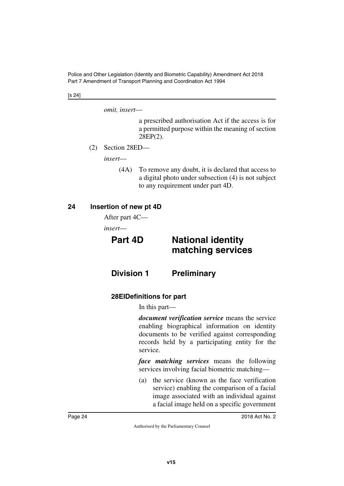[s 24]

*omit, insert*—

a prescribed authorisation Act if the access is for a permitted purpose within the meaning of section 28EP(2).

(2) Section 28ED—

*insert*—

(4A) To remove any doubt, it is declared that access to a digital photo under subsection (4) is not subject to any requirement under part 4D.

## <span id="page-25-0"></span>**24 Insertion of new pt 4D**

<span id="page-25-1"></span>After part 4C—

*insert*—

<span id="page-25-3"></span>

# <span id="page-25-2"></span>**Part 4D National identity matching services**

<span id="page-25-4"></span>**Division 1 Preliminary**

# <span id="page-25-7"></span><span id="page-25-6"></span>**28EIDefinitions for part**

<span id="page-25-5"></span>In this part—

*document verification service* means the service enabling biographical information on identity documents to be verified against corresponding records held by a participating entity for the service.

*face matching services* means the following services involving facial biometric matching—

(a) the service (known as the face verification service) enabling the comparison of a facial image associated with an individual against a facial image held on a specific government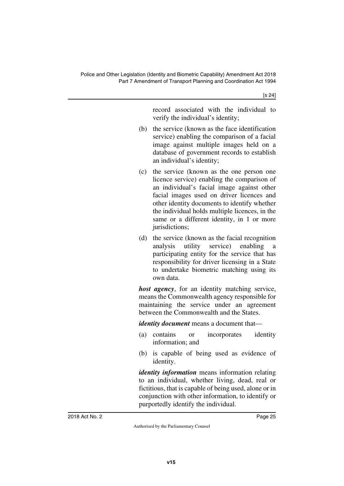record associated with the individual to verify the individual's identity;

- (b) the service (known as the face identification service) enabling the comparison of a facial image against multiple images held on a database of government records to establish an individual's identity;
- (c) the service (known as the one person one licence service) enabling the comparison of an individual's facial image against other facial images used on driver licences and other identity documents to identify whether the individual holds multiple licences, in the same or a different identity, in 1 or more jurisdictions;
- (d) the service (known as the facial recognition analysis utility service) enabling a participating entity for the service that has responsibility for driver licensing in a State to undertake biometric matching using its own data.

*host agency*, for an identity matching service, means the Commonwealth agency responsible for maintaining the service under an agreement between the Commonwealth and the States.

*identity document* means a document that—

- (a) contains or incorporates identity information; and
- (b) is capable of being used as evidence of identity.

*identity information* means information relating to an individual, whether living, dead, real or fictitious, that is capable of being used, alone or in conjunction with other information, to identify or purportedly identify the individual.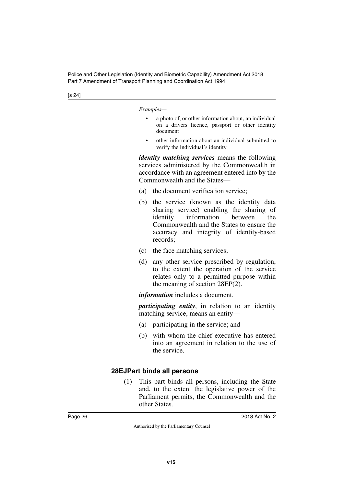[s 24]

*Examples—*

- a photo of, or other information about, an individual on a drivers licence, passport or other identity document
- other information about an individual submitted to verify the individual's identity

*identity matching services* means the following services administered by the Commonwealth in accordance with an agreement entered into by the Commonwealth and the States—

- (a) the document verification service;
- (b) the service (known as the identity data sharing service) enabling the sharing of identity information between the Commonwealth and the States to ensure the accuracy and integrity of identity-based records;
- (c) the face matching services;
- (d) any other service prescribed by regulation, to the extent the operation of the service relates only to a permitted purpose within the meaning of section 28EP(2).

*information* includes a document.

*participating entity*, in relation to an identity matching service, means an entity—

- (a) participating in the service; and
- (b) with whom the chief executive has entered into an agreement in relation to the use of the service.

## <span id="page-27-1"></span><span id="page-27-0"></span>**28EJPart binds all persons**

(1) This part binds all persons, including the State and, to the extent the legislative power of the Parliament permits, the Commonwealth and the other States.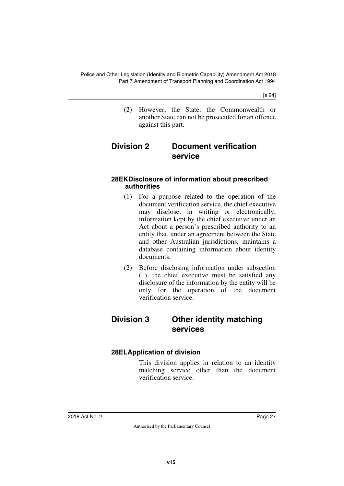[s 24]

<span id="page-28-1"></span>(2) However, the State, the Commonwealth or another State can not be prosecuted for an offence against this part.

# <span id="page-28-0"></span>**Division 2 Document verification service**

#### <span id="page-28-3"></span><span id="page-28-2"></span>**28EKDisclosure of information about prescribed authorities**

- (1) For a purpose related to the operation of the document verification service, the chief executive may disclose, in writing or electronically, information kept by the chief executive under an Act about a person's prescribed authority to an entity that, under an agreement between the State and other Australian jurisdictions, maintains a database containing information about identity documents.
- (2) Before disclosing information under subsection (1), the chief executive must be satisfied any disclosure of the information by the entity will be only for the operation of the document verification service.

# <span id="page-28-4"></span>**Division 3 Other identity matching services**

# <span id="page-28-7"></span><span id="page-28-6"></span>**28ELApplication of division**

<span id="page-28-5"></span>This division applies in relation to an identity matching service other than the document verification service.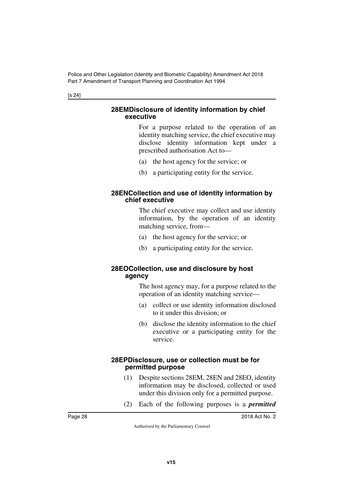[s 24]

#### <span id="page-29-1"></span><span id="page-29-0"></span>**28EMDisclosure of identity information by chief executive**

For a purpose related to the operation of an identity matching service, the chief executive may disclose identity information kept under a prescribed authorisation Act to—

- (a) the host agency for the service; or
- (b) a participating entity for the service.

## <span id="page-29-3"></span><span id="page-29-2"></span>**28ENCollection and use of identity information by chief executive**

The chief executive may collect and use identity information, by the operation of an identity matching service, from—

- (a) the host agency for the service; or
- (b) a participating entity for the service.

## <span id="page-29-5"></span><span id="page-29-4"></span>**28EOCollection, use and disclosure by host agency**

The host agency may, for a purpose related to the operation of an identity matching service—

- (a) collect or use identity information disclosed to it under this division; or
- (b) disclose the identity information to the chief executive or a participating entity for the service.

### <span id="page-29-7"></span><span id="page-29-6"></span>**28EPDisclosure, use or collection must be for permitted purpose**

- (1) Despite sections 28EM, 28EN and 28EO, identity information may be disclosed, collected or used under this division only for a permitted purpose.
- (2) Each of the following purposes is a *permitted*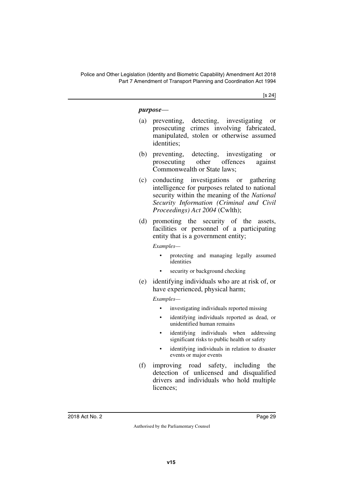[s 24]

#### *purpose*—

- (a) preventing, detecting, investigating or prosecuting crimes involving fabricated, manipulated, stolen or otherwise assumed identities;
- (b) preventing, detecting, investigating or prosecuting other offences against Commonwealth or State laws;
- (c) conducting investigations or gathering intelligence for purposes related to national security within the meaning of the *National Security Information (Criminal and Civil Proceedings) Act 2004* (Cwlth);
- (d) promoting the security of the assets, facilities or personnel of a participating entity that is a government entity;

*Examples—*

- protecting and managing legally assumed identities
- security or background checking
- (e) identifying individuals who are at risk of, or have experienced, physical harm;

*Examples—*

- investigating individuals reported missing
- identifying individuals reported as dead, or unidentified human remains
- identifying individuals when addressing significant risks to public health or safety
- identifying individuals in relation to disaster events or major events
- (f) improving road safety, including the detection of unlicensed and disqualified drivers and individuals who hold multiple licences;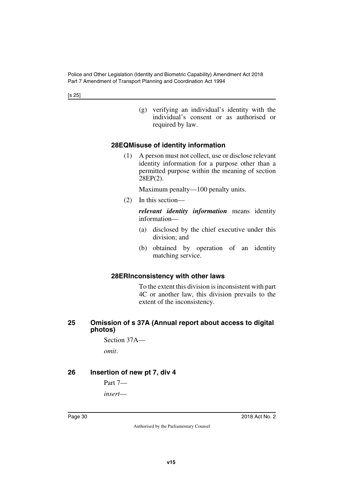[s 25]

(g) verifying an individual's identity with the individual's consent or as authorised or required by law.

## <span id="page-31-0"></span>**28EQMisuse of identity information**

<span id="page-31-1"></span>(1) A person must not collect, use or disclose relevant identity information for a purpose other than a permitted purpose within the meaning of section 28EP(2).

Maximum penalty—100 penalty units.

(2) In this section—

*relevant identity information* means identity information—

- (a) disclosed by the chief executive under this division; and
- (b) obtained by operation of an identity matching service.

#### <span id="page-31-3"></span><span id="page-31-2"></span>**28ERInconsistency with other laws**

To the extent this division is inconsistent with part 4C or another law, this division prevails to the extent of the inconsistency.

#### <span id="page-31-5"></span><span id="page-31-4"></span>**25 Omission of s 37A (Annual report about access to digital photos)**

Section 37A—

<span id="page-31-7"></span>*omit*.

#### <span id="page-31-6"></span>**26 Insertion of new pt 7, div 4**

Part 7 *insert*—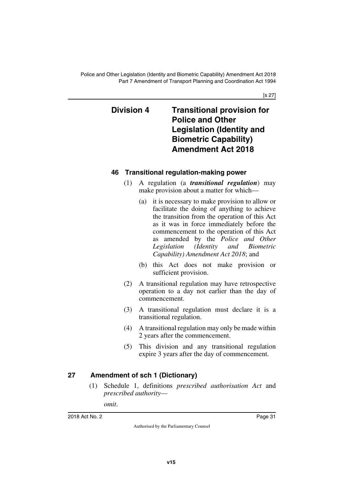[s 27]

# <span id="page-32-1"></span><span id="page-32-0"></span>**Division 4 Transitional provision for Police and Other Legislation (Identity and Biometric Capability) Amendment Act 2018**

# <span id="page-32-3"></span><span id="page-32-2"></span>**46 Transitional regulation-making power**

- (1) A regulation (a *transitional regulation*) may make provision about a matter for which—
	- (a) it is necessary to make provision to allow or facilitate the doing of anything to achieve the transition from the operation of this Act as it was in force immediately before the commencement to the operation of this Act as amended by the *Police and Other Legislation (Identity and Biometric Capability) Amendment Act 2018*; and
	- (b) this Act does not make provision or sufficient provision.
- (2) A transitional regulation may have retrospective operation to a day not earlier than the day of commencement.
- (3) A transitional regulation must declare it is a transitional regulation.
- (4) A transitional regulation may only be made within 2 years after the commencement.
- (5) This division and any transitional regulation expire 3 years after the day of commencement.

# <span id="page-32-4"></span>**27 Amendment of sch 1 (Dictionary)**

<span id="page-32-5"></span>(1) Schedule 1, definitions *prescribed authorisation Act* and *prescribed authority*—

*omit*.